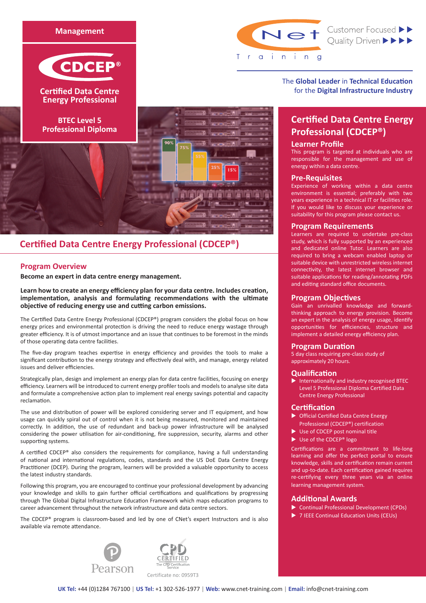



**Cerfied Data Centre Energy Professional**

**BTEC Level 5 Professional Diploma**



LE<sub>%</sub>

Net Customer Focused >>

The **Global Leader** in **Technical Education** for the **Digital Infrastructure Industry**

# **Certified Data Centre Energy Professional (CDCEP®)**

# **Learner Profile**

This program is targeted at individuals who are responsible for the management and use of energy within a data centre.

## **Pre-Requisites**

Experience of working within a data centre environment is essential; preferably with two years experience in a technical IT or facilities role. If you would like to discuss your experience or suitability for this program please contact us.

## **Program Requirements**

Learners are required to undertake pre-class study, which is fully supported by an experienced and dedicated online Tutor. Learners are also required to bring a webcam enabled laptop or suitable device with unrestricted wireless internet connectivity, the latest internet browser and suitable applications for reading/annotating PDFs and editing standard office documents.

## **Program Objectives**

Gain an unrivalled knowledge and forwardthinking approach to energy provision. Become an expert in the analysis of energy usage, identify opportunities for efficiencies, structure and implement a detailed energy efficiency plan.

## **Program Duration**

5 day class requiring pre-class study of approximately 20 hours.

# **Qualification**

 $\blacktriangleright$  Internationally and industry recognised BTEC Level 5 Professional Diploma Certified Data Centre Energy Professional

## **Certification**

- $\triangleright$  Official Certified Data Centre Energy Professional (CDCEP®) certification
- $\blacktriangleright$  Use of CDCEP post nominal title
- $\blacktriangleright$  Use of the CDCEP® logo

Certifications are a commitment to life-long learning and offer the perfect portal to ensure knowledge, skills and certification remain current and up-to-date. Each certification gained requires re-certifying every three years via an online learning management system.

# **Additional Awards**

- Continual Professional Development (CPDs)
- ▶ 7 IEEE Continual Education Units (CEUs)

# **Certified Data Centre Energy Professional (CDCEP®)**

# **Program Overview**

**Become an expert in data centre energy management.** 

**Learn how to create an energy efficiency plan for your data centre. Includes creation, implementation, analysis and formulating recommendations with the ultimate objective of reducing energy use and cutting carbon emissions.**

The Certified Data Centre Energy Professional (CDCEP®) program considers the global focus on how energy prices and environmental protection is driving the need to reduce energy wastage through greater efficiency. It is of utmost importance and an issue that continues to be foremost in the minds of those operating data centre facilities.

The five-day program teaches expertise in energy efficiency and provides the tools to make a significant contribution to the energy strategy and effectively deal with, and manage, energy related issues and deliver efficiencies.

Strategically plan, design and implement an energy plan for data centre facilities, focusing on energy efficiency. Learners will be introduced to current energy profiler tools and models to analyse site data and formulate a comprehensive action plan to implement real energy savings potential and capacity reclamation.

The use and distribution of power will be explored considering server and IT equipment, and how usage can quickly spiral out of control when it is not being measured, monitored and maintained correctly. In addition, the use of redundant and back-up power infrastructure will be analysed considering the power utilisation for air-conditioning, fire suppression, security, alarms and other supporting systems.

A certified CDCEP® also considers the requirements for compliance, having a full understanding of national and international regulations, codes, standards and the US DoE Data Centre Energy Practitioner (DCEP). During the program, learners will be provided a valuable opportunity to access the latest industry standards.

Following this program, you are encouraged to continue your professional development by advancing your knowledge and skills to gain further official certifications and qualifications by progressing through The Global Digital Infrastructure Education Framework which maps education programs to career advancement throughout the network infrastructure and data centre sectors.

The CDCEP® program is classroom-based and led by one of CNet's expert Instructors and is also available via remote attendance.





**UK Tel:** +44 (0)1284 767100 | **US Tel:** +1 302-526-1977 | **Web:** www.cnet-training.com | **Email:** info@cnet-training.com